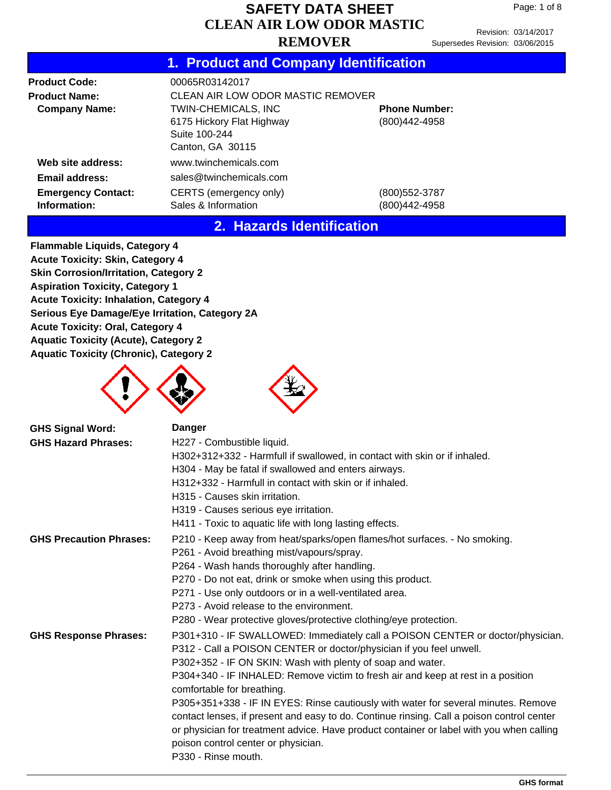Revision: 03/14/2017 Supersedes Revision: 03/06/2015

## **1. Product and Company Identification**

| <b>Product Code:</b>                      | 00065R03142017                                          |                                       |
|-------------------------------------------|---------------------------------------------------------|---------------------------------------|
| <b>Product Name:</b>                      | CLEAN AIR LOW ODOR MASTIC REMOVER                       |                                       |
| <b>Company Name:</b>                      | <b>TWIN-CHEMICALS, INC</b><br>6175 Hickory Flat Highway | <b>Phone Number:</b><br>(800)442-4958 |
|                                           | Suite 100-244<br>Canton, GA 30115                       |                                       |
| Web site address:                         | www.twinchemicals.com                                   |                                       |
| Email address:                            | sales@twinchemicals.com                                 |                                       |
| <b>Emergency Contact:</b><br>Information: | CERTS (emergency only)<br>Sales & Information           | (800)552-3787<br>(800)442-4958        |

#### **2. Hazards Identification**

**Flammable Liquids, Category 4 Acute Toxicity: Skin, Category 4 Skin Corrosion/Irritation, Category 2 Aspiration Toxicity, Category 1 Acute Toxicity: Inhalation, Category 4 Serious Eye Damage/Eye Irritation, Category 2A Acute Toxicity: Oral, Category 4 Aquatic Toxicity (Acute), Category 2 Aquatic Toxicity (Chronic), Category 2**





| <b>GHS Signal Word:</b>        | <b>Danger</b>                                                                                                                                         |
|--------------------------------|-------------------------------------------------------------------------------------------------------------------------------------------------------|
| <b>GHS Hazard Phrases:</b>     | H227 - Combustible liquid.                                                                                                                            |
|                                | H302+312+332 - Harmfull if swallowed, in contact with skin or if inhaled.                                                                             |
|                                | H304 - May be fatal if swallowed and enters airways.                                                                                                  |
|                                | H312+332 - Harmfull in contact with skin or if inhaled.                                                                                               |
|                                | H315 - Causes skin irritation.                                                                                                                        |
|                                | H319 - Causes serious eye irritation.                                                                                                                 |
|                                | H411 - Toxic to aquatic life with long lasting effects.                                                                                               |
| <b>GHS Precaution Phrases:</b> | P210 - Keep away from heat/sparks/open flames/hot surfaces. - No smoking.                                                                             |
|                                | P261 - Avoid breathing mist/vapours/spray.                                                                                                            |
|                                | P264 - Wash hands thoroughly after handling.                                                                                                          |
|                                | P270 - Do not eat, drink or smoke when using this product.                                                                                            |
|                                | P271 - Use only outdoors or in a well-ventilated area.                                                                                                |
|                                | P273 - Avoid release to the environment.                                                                                                              |
|                                | P280 - Wear protective gloves/protective clothing/eye protection.                                                                                     |
| <b>GHS Response Phrases:</b>   | P301+310 - IF SWALLOWED: Immediately call a POISON CENTER or doctor/physician.<br>P312 - Call a POISON CENTER or doctor/physician if you feel unwell. |
|                                | P302+352 - IF ON SKIN: Wash with plenty of soap and water.                                                                                            |
|                                | P304+340 - IF INHALED: Remove victim to fresh air and keep at rest in a position<br>comfortable for breathing.                                        |
|                                | P305+351+338 - IF IN EYES: Rinse cautiously with water for several minutes. Remove                                                                    |
|                                | contact lenses, if present and easy to do. Continue rinsing. Call a poison control center                                                             |
|                                | or physician for treatment advice. Have product container or label with you when calling                                                              |
|                                | poison control center or physician.                                                                                                                   |
|                                | P330 - Rinse mouth.                                                                                                                                   |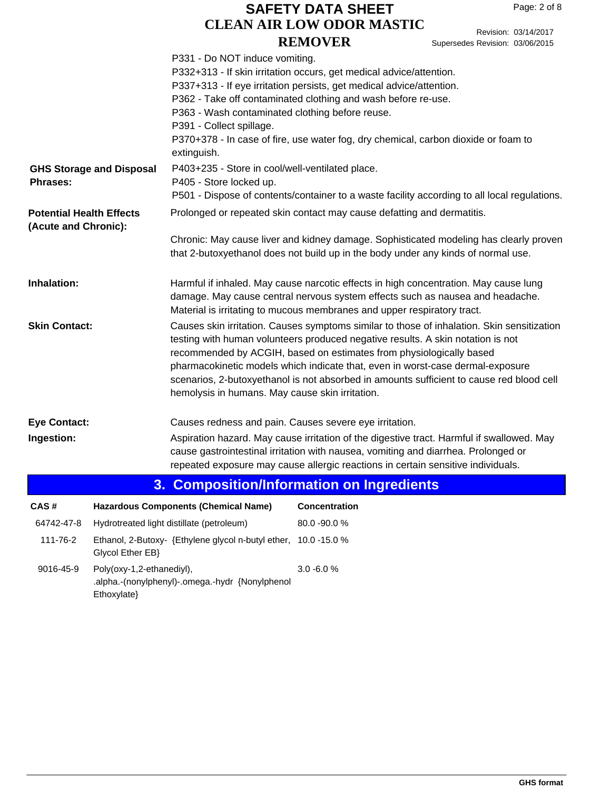Revision: 03/14/2017 Supersedes Revision: 03/06/2015

|                                                         |                                 | P331 - Do NOT induce vomiting.<br>P363 - Wash contaminated clothing before reuse.<br>P391 - Collect spillage.<br>extinguish. | P332+313 - If skin irritation occurs, get medical advice/attention.<br>P337+313 - If eye irritation persists, get medical advice/attention.<br>P362 - Take off contaminated clothing and wash before re-use.<br>P370+378 - In case of fire, use water fog, dry chemical, carbon dioxide or foam to                                                                                                                                 |
|---------------------------------------------------------|---------------------------------|------------------------------------------------------------------------------------------------------------------------------|------------------------------------------------------------------------------------------------------------------------------------------------------------------------------------------------------------------------------------------------------------------------------------------------------------------------------------------------------------------------------------------------------------------------------------|
| Phrases:                                                | <b>GHS Storage and Disposal</b> | P403+235 - Store in cool/well-ventilated place.<br>P405 - Store locked up.                                                   | P501 - Dispose of contents/container to a waste facility according to all local regulations.                                                                                                                                                                                                                                                                                                                                       |
| <b>Potential Health Effects</b><br>(Acute and Chronic): |                                 |                                                                                                                              | Prolonged or repeated skin contact may cause defatting and dermatitis.                                                                                                                                                                                                                                                                                                                                                             |
|                                                         |                                 |                                                                                                                              | Chronic: May cause liver and kidney damage. Sophisticated modeling has clearly proven<br>that 2-butoxyethanol does not build up in the body under any kinds of normal use.                                                                                                                                                                                                                                                         |
| Inhalation:                                             |                                 |                                                                                                                              | Harmful if inhaled. May cause narcotic effects in high concentration. May cause lung<br>damage. May cause central nervous system effects such as nausea and headache.<br>Material is irritating to mucous membranes and upper respiratory tract.                                                                                                                                                                                   |
| <b>Skin Contact:</b>                                    |                                 | hemolysis in humans. May cause skin irritation.                                                                              | Causes skin irritation. Causes symptoms similar to those of inhalation. Skin sensitization<br>testing with human volunteers produced negative results. A skin notation is not<br>recommended by ACGIH, based on estimates from physiologically based<br>pharmacokinetic models which indicate that, even in worst-case dermal-exposure<br>scenarios, 2-butoxyethanol is not absorbed in amounts sufficient to cause red blood cell |
| <b>Eye Contact:</b>                                     |                                 | Causes redness and pain. Causes severe eye irritation.                                                                       |                                                                                                                                                                                                                                                                                                                                                                                                                                    |
| Ingestion:                                              |                                 |                                                                                                                              | Aspiration hazard. May cause irritation of the digestive tract. Harmful if swallowed. May<br>cause gastrointestinal irritation with nausea, vomiting and diarrhea. Prolonged or<br>repeated exposure may cause allergic reactions in certain sensitive individuals.                                                                                                                                                                |
|                                                         | 3.                              |                                                                                                                              | <b>Composition/Information on Ingredients</b>                                                                                                                                                                                                                                                                                                                                                                                      |
| CAS#                                                    |                                 | <b>Hazardous Components (Chemical Name)</b>                                                                                  | <b>Concentration</b>                                                                                                                                                                                                                                                                                                                                                                                                               |
| 64742-47-8                                              |                                 | Hydrotreated light distillate (petroleum)                                                                                    | 80.0 - 90.0 %                                                                                                                                                                                                                                                                                                                                                                                                                      |
| 111-76-2                                                | Glycol Ether EB}                | Ethanol, 2-Butoxy- {Ethylene glycol n-butyl ether, 10.0 -15.0 %                                                              |                                                                                                                                                                                                                                                                                                                                                                                                                                    |

 9016-45-9 Poly(oxy-1,2-ethanediyl), .alpha.-(nonylphenyl)-.omega.-hydr {Nonylphenol Ethoxylate} 3.0 -6.0 %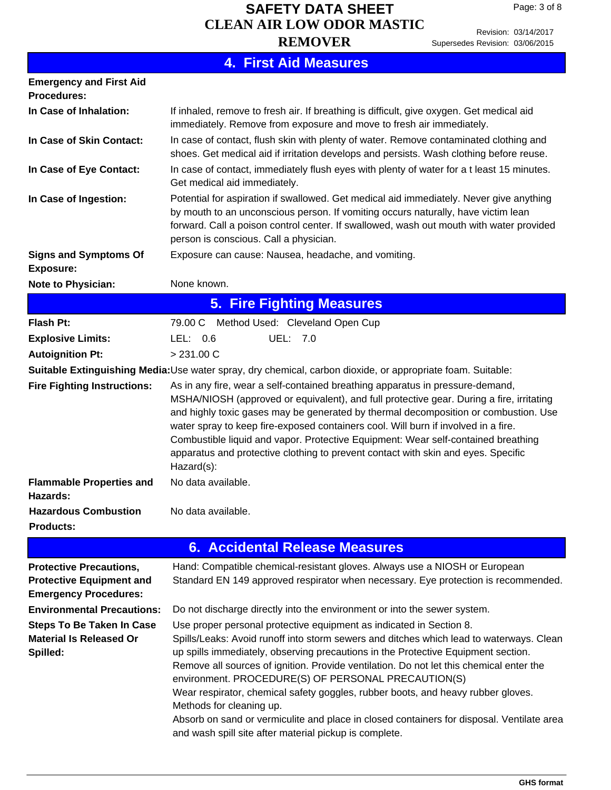Revision: 03/14/2017 Supersedes Revision: 03/06/2015

|                                                                                                   | <b>4. First Aid Measures</b>                                                                                                                                                                                                                                                                                                                                                                                                                                                                                                                                                                                                                                                 |
|---------------------------------------------------------------------------------------------------|------------------------------------------------------------------------------------------------------------------------------------------------------------------------------------------------------------------------------------------------------------------------------------------------------------------------------------------------------------------------------------------------------------------------------------------------------------------------------------------------------------------------------------------------------------------------------------------------------------------------------------------------------------------------------|
| <b>Emergency and First Aid</b><br><b>Procedures:</b>                                              |                                                                                                                                                                                                                                                                                                                                                                                                                                                                                                                                                                                                                                                                              |
| In Case of Inhalation:                                                                            | If inhaled, remove to fresh air. If breathing is difficult, give oxygen. Get medical aid<br>immediately. Remove from exposure and move to fresh air immediately.                                                                                                                                                                                                                                                                                                                                                                                                                                                                                                             |
| In Case of Skin Contact:                                                                          | In case of contact, flush skin with plenty of water. Remove contaminated clothing and<br>shoes. Get medical aid if irritation develops and persists. Wash clothing before reuse.                                                                                                                                                                                                                                                                                                                                                                                                                                                                                             |
| In Case of Eye Contact:                                                                           | In case of contact, immediately flush eyes with plenty of water for a t least 15 minutes.<br>Get medical aid immediately.                                                                                                                                                                                                                                                                                                                                                                                                                                                                                                                                                    |
| In Case of Ingestion:                                                                             | Potential for aspiration if swallowed. Get medical aid immediately. Never give anything<br>by mouth to an unconscious person. If vomiting occurs naturally, have victim lean<br>forward. Call a poison control center. If swallowed, wash out mouth with water provided<br>person is conscious. Call a physician.                                                                                                                                                                                                                                                                                                                                                            |
| <b>Signs and Symptoms Of</b><br><b>Exposure:</b>                                                  | Exposure can cause: Nausea, headache, and vomiting.                                                                                                                                                                                                                                                                                                                                                                                                                                                                                                                                                                                                                          |
| <b>Note to Physician:</b>                                                                         | None known.                                                                                                                                                                                                                                                                                                                                                                                                                                                                                                                                                                                                                                                                  |
|                                                                                                   | <b>5. Fire Fighting Measures</b>                                                                                                                                                                                                                                                                                                                                                                                                                                                                                                                                                                                                                                             |
| <b>Flash Pt:</b>                                                                                  | 79.00 C Method Used: Cleveland Open Cup                                                                                                                                                                                                                                                                                                                                                                                                                                                                                                                                                                                                                                      |
| <b>Explosive Limits:</b>                                                                          | UEL: 7.0<br>LEL: $0.6$                                                                                                                                                                                                                                                                                                                                                                                                                                                                                                                                                                                                                                                       |
| <b>Autoignition Pt:</b>                                                                           | > 231.00 C                                                                                                                                                                                                                                                                                                                                                                                                                                                                                                                                                                                                                                                                   |
|                                                                                                   | Suitable Extinguishing Media: Use water spray, dry chemical, carbon dioxide, or appropriate foam. Suitable:                                                                                                                                                                                                                                                                                                                                                                                                                                                                                                                                                                  |
| <b>Fire Fighting Instructions:</b>                                                                | As in any fire, wear a self-contained breathing apparatus in pressure-demand,<br>MSHA/NIOSH (approved or equivalent), and full protective gear. During a fire, irritating<br>and highly toxic gases may be generated by thermal decomposition or combustion. Use<br>water spray to keep fire-exposed containers cool. Will burn if involved in a fire.<br>Combustible liquid and vapor. Protective Equipment: Wear self-contained breathing<br>apparatus and protective clothing to prevent contact with skin and eyes. Specific<br>Hazard(s):                                                                                                                               |
| <b>Flammable Properties and</b><br>Hazards:                                                       | No data available.                                                                                                                                                                                                                                                                                                                                                                                                                                                                                                                                                                                                                                                           |
| <b>Hazardous Combustion</b><br><b>Products:</b>                                                   | No data available.                                                                                                                                                                                                                                                                                                                                                                                                                                                                                                                                                                                                                                                           |
|                                                                                                   | <b>6. Accidental Release Measures</b>                                                                                                                                                                                                                                                                                                                                                                                                                                                                                                                                                                                                                                        |
| <b>Protective Precautions,</b><br><b>Protective Equipment and</b><br><b>Emergency Procedures:</b> | Hand: Compatible chemical-resistant gloves. Always use a NIOSH or European<br>Standard EN 149 approved respirator when necessary. Eye protection is recommended.                                                                                                                                                                                                                                                                                                                                                                                                                                                                                                             |
| <b>Environmental Precautions:</b>                                                                 | Do not discharge directly into the environment or into the sewer system.                                                                                                                                                                                                                                                                                                                                                                                                                                                                                                                                                                                                     |
| <b>Steps To Be Taken In Case</b><br><b>Material Is Released Or</b><br>Spilled:                    | Use proper personal protective equipment as indicated in Section 8.<br>Spills/Leaks: Avoid runoff into storm sewers and ditches which lead to waterways. Clean<br>up spills immediately, observing precautions in the Protective Equipment section.<br>Remove all sources of ignition. Provide ventilation. Do not let this chemical enter the<br>environment. PROCEDURE(S) OF PERSONAL PRECAUTION(S)<br>Wear respirator, chemical safety goggles, rubber boots, and heavy rubber gloves.<br>Methods for cleaning up.<br>Absorb on sand or vermiculite and place in closed containers for disposal. Ventilate area<br>and wash spill site after material pickup is complete. |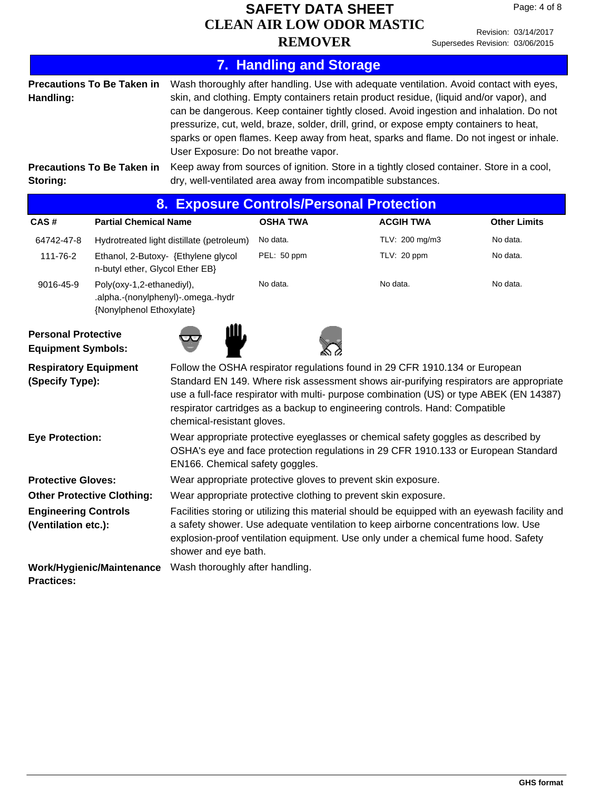Revision: 03/14/2017 Supersedes Revision: 03/06/2015

|                                                         |                                                                                                                                                                                                                                                                                                                                                                                                                                  |                                                                                                                                                                                                                                                                                                                                                                                                                                                                                                                                                                                                                                                                         |                                |  |                  | Caperocaco I teviolori. Coroorzo id                                                                                                                                                                                                                                       |
|---------------------------------------------------------|----------------------------------------------------------------------------------------------------------------------------------------------------------------------------------------------------------------------------------------------------------------------------------------------------------------------------------------------------------------------------------------------------------------------------------|-------------------------------------------------------------------------------------------------------------------------------------------------------------------------------------------------------------------------------------------------------------------------------------------------------------------------------------------------------------------------------------------------------------------------------------------------------------------------------------------------------------------------------------------------------------------------------------------------------------------------------------------------------------------------|--------------------------------|--|------------------|---------------------------------------------------------------------------------------------------------------------------------------------------------------------------------------------------------------------------------------------------------------------------|
|                                                         |                                                                                                                                                                                                                                                                                                                                                                                                                                  |                                                                                                                                                                                                                                                                                                                                                                                                                                                                                                                                                                                                                                                                         | <b>7. Handling and Storage</b> |  |                  |                                                                                                                                                                                                                                                                           |
| Handling:<br>Storing:                                   | <b>Precautions To Be Taken in</b><br><b>Precautions To Be Taken in</b>                                                                                                                                                                                                                                                                                                                                                           | Wash thoroughly after handling. Use with adequate ventilation. Avoid contact with eyes,<br>skin, and clothing. Empty containers retain product residue, (liquid and/or vapor), and<br>can be dangerous. Keep container tightly closed. Avoid ingestion and inhalation. Do not<br>pressurize, cut, weld, braze, solder, drill, grind, or expose empty containers to heat,<br>sparks or open flames. Keep away from heat, sparks and flame. Do not ingest or inhale.<br>User Exposure: Do not breathe vapor.<br>Keep away from sources of ignition. Store in a tightly closed container. Store in a cool,<br>dry, well-ventilated area away from incompatible substances. |                                |  |                  |                                                                                                                                                                                                                                                                           |
|                                                         | 8.                                                                                                                                                                                                                                                                                                                                                                                                                               | <b>Exposure Controls/Personal Protection</b>                                                                                                                                                                                                                                                                                                                                                                                                                                                                                                                                                                                                                            |                                |  |                  |                                                                                                                                                                                                                                                                           |
| CAS#                                                    | <b>Partial Chemical Name</b>                                                                                                                                                                                                                                                                                                                                                                                                     |                                                                                                                                                                                                                                                                                                                                                                                                                                                                                                                                                                                                                                                                         | <b>OSHA TWA</b>                |  | <b>ACGIH TWA</b> | <b>Other Limits</b>                                                                                                                                                                                                                                                       |
| 64742-47-8                                              |                                                                                                                                                                                                                                                                                                                                                                                                                                  | Hydrotreated light distillate (petroleum)                                                                                                                                                                                                                                                                                                                                                                                                                                                                                                                                                                                                                               | No data.                       |  | TLV: 200 mg/m3   | No data.                                                                                                                                                                                                                                                                  |
| 111-76-2                                                | n-butyl ether, Glycol Ether EB}                                                                                                                                                                                                                                                                                                                                                                                                  | Ethanol, 2-Butoxy- {Ethylene glycol                                                                                                                                                                                                                                                                                                                                                                                                                                                                                                                                                                                                                                     | PEL: 50 ppm                    |  | TLV: 20 ppm      | No data.                                                                                                                                                                                                                                                                  |
| 9016-45-9                                               | Poly(oxy-1,2-ethanediyl),<br>.alpha.-(nonylphenyl)-.omega.-hydr<br>{Nonylphenol Ethoxylate}                                                                                                                                                                                                                                                                                                                                      |                                                                                                                                                                                                                                                                                                                                                                                                                                                                                                                                                                                                                                                                         | No data.                       |  | No data.         | No data.                                                                                                                                                                                                                                                                  |
| <b>Personal Protective</b><br><b>Equipment Symbols:</b> |                                                                                                                                                                                                                                                                                                                                                                                                                                  |                                                                                                                                                                                                                                                                                                                                                                                                                                                                                                                                                                                                                                                                         |                                |  |                  |                                                                                                                                                                                                                                                                           |
|                                                         | Follow the OSHA respirator regulations found in 29 CFR 1910.134 or European<br><b>Respiratory Equipment</b><br>Standard EN 149. Where risk assessment shows air-purifying respirators are appropriate<br>(Specify Type):<br>use a full-face respirator with multi- purpose combination (US) or type ABEK (EN 14387)<br>respirator cartridges as a backup to engineering controls. Hand: Compatible<br>chemical-resistant gloves. |                                                                                                                                                                                                                                                                                                                                                                                                                                                                                                                                                                                                                                                                         |                                |  |                  |                                                                                                                                                                                                                                                                           |
| <b>Eye Protection:</b>                                  |                                                                                                                                                                                                                                                                                                                                                                                                                                  | Wear appropriate protective eyeglasses or chemical safety goggles as described by<br>OSHA's eye and face protection regulations in 29 CFR 1910.133 or European Standard<br>EN166. Chemical safety goggles.                                                                                                                                                                                                                                                                                                                                                                                                                                                              |                                |  |                  |                                                                                                                                                                                                                                                                           |
|                                                         | <b>Protective Gloves:</b><br>Wear appropriate protective gloves to prevent skin exposure.                                                                                                                                                                                                                                                                                                                                        |                                                                                                                                                                                                                                                                                                                                                                                                                                                                                                                                                                                                                                                                         |                                |  |                  |                                                                                                                                                                                                                                                                           |
| <b>Other Protective Clothing:</b>                       |                                                                                                                                                                                                                                                                                                                                                                                                                                  | Wear appropriate protective clothing to prevent skin exposure.                                                                                                                                                                                                                                                                                                                                                                                                                                                                                                                                                                                                          |                                |  |                  |                                                                                                                                                                                                                                                                           |
| <b>Engineering Controls</b><br>(Ventilation etc.):      |                                                                                                                                                                                                                                                                                                                                                                                                                                  | shower and eye bath.                                                                                                                                                                                                                                                                                                                                                                                                                                                                                                                                                                                                                                                    |                                |  |                  | Facilities storing or utilizing this material should be equipped with an eyewash facility and<br>a safety shower. Use adequate ventilation to keep airborne concentrations low. Use<br>explosion-proof ventilation equipment. Use only under a chemical fume hood. Safety |
| <b>Practices:</b>                                       | <b>Work/Hygienic/Maintenance</b>                                                                                                                                                                                                                                                                                                                                                                                                 | Wash thoroughly after handling.                                                                                                                                                                                                                                                                                                                                                                                                                                                                                                                                                                                                                                         |                                |  |                  |                                                                                                                                                                                                                                                                           |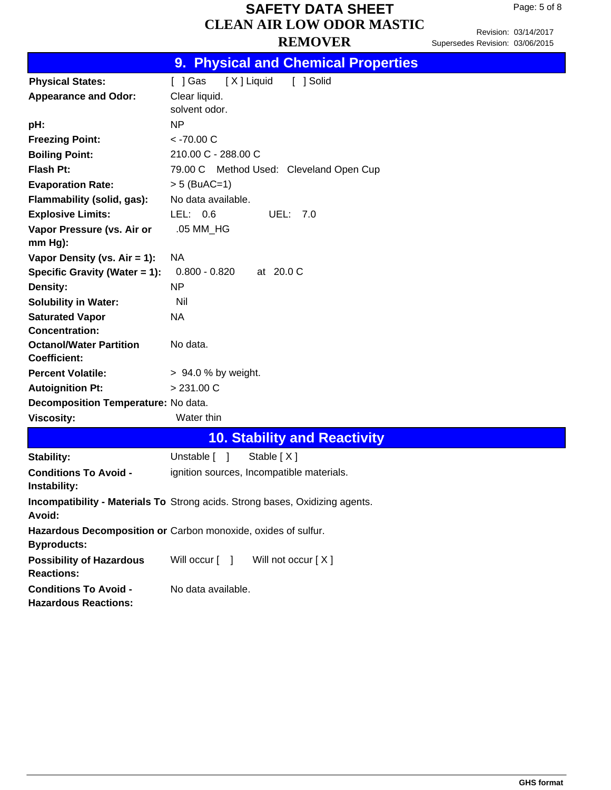Page: 5 of 8

|                                                      | 9. Physical and Chemical Properties                                          |
|------------------------------------------------------|------------------------------------------------------------------------------|
| <b>Physical States:</b>                              | [X] Liquid<br>[ ] Gas<br>[ ] Solid                                           |
| <b>Appearance and Odor:</b>                          | Clear liquid.                                                                |
|                                                      | solvent odor.                                                                |
| pH:                                                  | NP                                                                           |
| <b>Freezing Point:</b>                               | $<$ -70.00 C                                                                 |
| <b>Boiling Point:</b>                                | 210.00 C - 288.00 C                                                          |
| Flash Pt:                                            | 79.00 C Method Used: Cleveland Open Cup                                      |
| <b>Evaporation Rate:</b>                             | $> 5$ (BuAC=1)                                                               |
| Flammability (solid, gas):                           | No data available.                                                           |
| <b>Explosive Limits:</b>                             | LEL: $0.6$<br>UEL: 7.0                                                       |
| Vapor Pressure (vs. Air or<br>mm Hg):                | .05 MM_HG                                                                    |
| Vapor Density (vs. Air = 1):                         | NA.                                                                          |
| Specific Gravity (Water = 1):                        | $0.800 - 0.820$ at 20.0 C                                                    |
| <b>Density:</b>                                      | NP                                                                           |
| <b>Solubility in Water:</b>                          | Nil                                                                          |
| <b>Saturated Vapor</b>                               | NA                                                                           |
| <b>Concentration:</b>                                |                                                                              |
| <b>Octanol/Water Partition</b>                       | No data.                                                                     |
| <b>Coefficient:</b>                                  |                                                                              |
| <b>Percent Volatile:</b>                             | > 94.0 % by weight.                                                          |
| <b>Autoignition Pt:</b>                              | > 231.00 C                                                                   |
| Decomposition Temperature: No data.                  |                                                                              |
| <b>Viscosity:</b>                                    | Water thin                                                                   |
|                                                      | <b>10. Stability and Reactivity</b>                                          |
| Stability:                                           | Unstable [ ]<br>Stable [X]                                                   |
| <b>Conditions To Avoid -</b><br>Instability:         | ignition sources, Incompatible materials.                                    |
| Avoid:                                               | Incompatibility - Materials To Strong acids. Strong bases, Oxidizing agents. |
| <b>Byproducts:</b>                                   | Hazardous Decomposition or Carbon monoxide, oxides of sulfur.                |
| <b>Possibility of Hazardous</b><br><b>Reactions:</b> | Will not occur [X]<br>Will occur [ ]                                         |
| <b>Conditions To Avoid -</b>                         | No data available.                                                           |

**Hazardous Reactions:**

# Supersedes Revision: 03/06/2015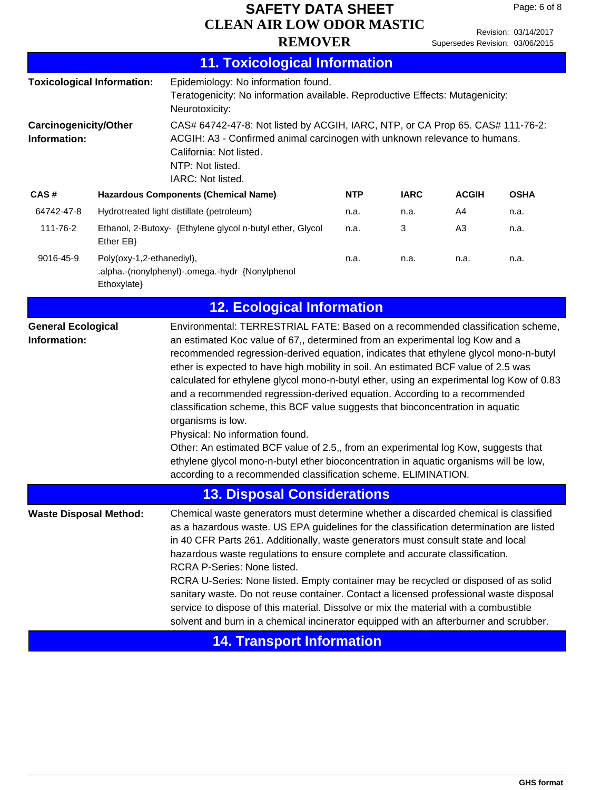|                                 | Revision: 03/14/2017 |
|---------------------------------|----------------------|
| Supersedes Revision: 03/06/2015 |                      |

| <b>11. Toxicological Information</b>                                                                                                                                                                                                                                                                                                                                                                                                                                                                                                                                                                                                                                                                                                                                                                                                                                                                                                                           |                                                                                                                                                                             |                                                                                                                                                                                                                                 |            |             |                |             |
|----------------------------------------------------------------------------------------------------------------------------------------------------------------------------------------------------------------------------------------------------------------------------------------------------------------------------------------------------------------------------------------------------------------------------------------------------------------------------------------------------------------------------------------------------------------------------------------------------------------------------------------------------------------------------------------------------------------------------------------------------------------------------------------------------------------------------------------------------------------------------------------------------------------------------------------------------------------|-----------------------------------------------------------------------------------------------------------------------------------------------------------------------------|---------------------------------------------------------------------------------------------------------------------------------------------------------------------------------------------------------------------------------|------------|-------------|----------------|-------------|
|                                                                                                                                                                                                                                                                                                                                                                                                                                                                                                                                                                                                                                                                                                                                                                                                                                                                                                                                                                | <b>Toxicological Information:</b><br>Epidemiology: No information found.<br>Teratogenicity: No information available. Reproductive Effects: Mutagenicity:<br>Neurotoxicity: |                                                                                                                                                                                                                                 |            |             |                |             |
| <b>Carcinogenicity/Other</b><br>Information:                                                                                                                                                                                                                                                                                                                                                                                                                                                                                                                                                                                                                                                                                                                                                                                                                                                                                                                   |                                                                                                                                                                             | CAS# 64742-47-8: Not listed by ACGIH, IARC, NTP, or CA Prop 65. CAS# 111-76-2:<br>ACGIH: A3 - Confirmed animal carcinogen with unknown relevance to humans.<br>California: Not listed.<br>NTP: Not listed.<br>IARC: Not listed. |            |             |                |             |
| CAS#                                                                                                                                                                                                                                                                                                                                                                                                                                                                                                                                                                                                                                                                                                                                                                                                                                                                                                                                                           |                                                                                                                                                                             | <b>Hazardous Components (Chemical Name)</b>                                                                                                                                                                                     | <b>NTP</b> | <b>IARC</b> | <b>ACGIH</b>   | <b>OSHA</b> |
| 64742-47-8                                                                                                                                                                                                                                                                                                                                                                                                                                                                                                                                                                                                                                                                                                                                                                                                                                                                                                                                                     |                                                                                                                                                                             | Hydrotreated light distillate (petroleum)                                                                                                                                                                                       | n.a.       | n.a.        | A4             | n.a.        |
| 111-76-2                                                                                                                                                                                                                                                                                                                                                                                                                                                                                                                                                                                                                                                                                                                                                                                                                                                                                                                                                       | Ether EB}                                                                                                                                                                   | Ethanol, 2-Butoxy- {Ethylene glycol n-butyl ether, Glycol                                                                                                                                                                       | n.a.       | 3           | A <sub>3</sub> | n.a.        |
| 9016-45-9                                                                                                                                                                                                                                                                                                                                                                                                                                                                                                                                                                                                                                                                                                                                                                                                                                                                                                                                                      | Poly(oxy-1,2-ethanediyl),<br>Ethoxylate}                                                                                                                                    | .alpha.-(nonylphenyl)-.omega.-hydr {Nonylphenol                                                                                                                                                                                 | n.a.       | n.a.        | n.a.           | n.a.        |
| <b>12. Ecological Information</b>                                                                                                                                                                                                                                                                                                                                                                                                                                                                                                                                                                                                                                                                                                                                                                                                                                                                                                                              |                                                                                                                                                                             |                                                                                                                                                                                                                                 |            |             |                |             |
| Environmental: TERRESTRIAL FATE: Based on a recommended classification scheme,<br><b>General Ecological</b><br>an estimated Koc value of 67,, determined from an experimental log Kow and a<br>Information:<br>recommended regression-derived equation, indicates that ethylene glycol mono-n-butyl<br>ether is expected to have high mobility in soil. An estimated BCF value of 2.5 was<br>calculated for ethylene glycol mono-n-butyl ether, using an experimental log Kow of 0.83<br>and a recommended regression-derived equation. According to a recommended<br>classification scheme, this BCF value suggests that bioconcentration in aquatic<br>organisms is low.<br>Physical: No information found.<br>Other: An estimated BCF value of 2.5,, from an experimental log Kow, suggests that<br>ethylene glycol mono-n-butyl ether bioconcentration in aquatic organisms will be low,<br>according to a recommended classification scheme. ELIMINATION. |                                                                                                                                                                             |                                                                                                                                                                                                                                 |            |             |                |             |
|                                                                                                                                                                                                                                                                                                                                                                                                                                                                                                                                                                                                                                                                                                                                                                                                                                                                                                                                                                |                                                                                                                                                                             | 13. Disposal Considerations                                                                                                                                                                                                     |            |             |                |             |
| Chemical waste generators must determine whether a discarded chemical is classified<br><b>Waste Disposal Method:</b><br>as a hazardous waste. US EPA guidelines for the classification determination are listed<br>in 40 CFR Parts 261. Additionally, waste generators must consult state and local<br>hazardous waste regulations to ensure complete and accurate classification.<br>RCRA P-Series: None listed.<br>RCRA U-Series: None listed. Empty container may be recycled or disposed of as solid<br>sanitary waste. Do not reuse container. Contact a licensed professional waste disposal<br>service to dispose of this material. Dissolve or mix the material with a combustible<br>solvent and burn in a chemical incinerator equipped with an afterburner and scrubber.                                                                                                                                                                            |                                                                                                                                                                             |                                                                                                                                                                                                                                 |            |             |                |             |
|                                                                                                                                                                                                                                                                                                                                                                                                                                                                                                                                                                                                                                                                                                                                                                                                                                                                                                                                                                |                                                                                                                                                                             | <b>14. Transport Information</b>                                                                                                                                                                                                |            |             |                |             |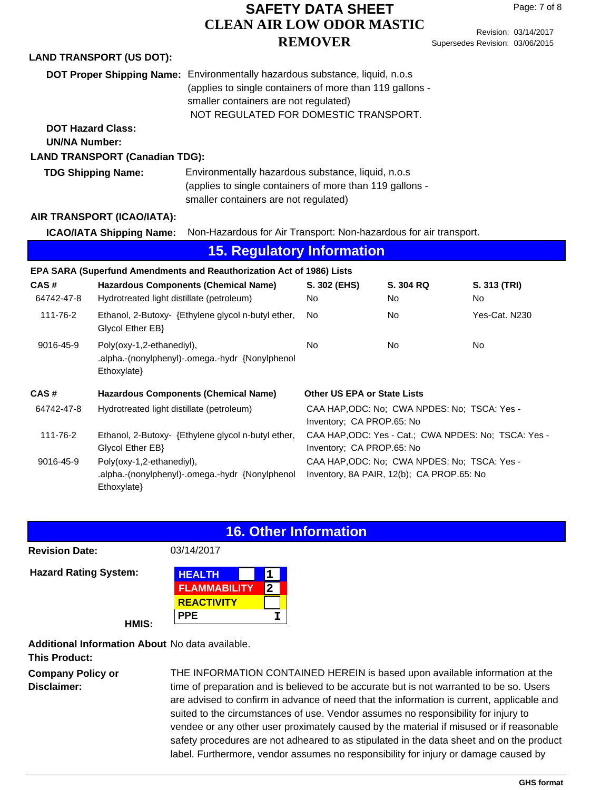Revision: 03/14/2017 Supersedes Revision: 03/06/2015

|                      | DOT Proper Shipping Name: Environmentally hazardous substance, liquid, n.o.s<br>(applies to single containers of more than 119 gallons -<br>smaller containers are not regulated)<br>NOT REGULATED FOR DOMESTIC TRANSPORT. |                                                                                                                |                                                                                   |                                                                                           |                           |
|----------------------|----------------------------------------------------------------------------------------------------------------------------------------------------------------------------------------------------------------------------|----------------------------------------------------------------------------------------------------------------|-----------------------------------------------------------------------------------|-------------------------------------------------------------------------------------------|---------------------------|
| <b>UN/NA Number:</b> | <b>DOT Hazard Class:</b>                                                                                                                                                                                                   |                                                                                                                |                                                                                   |                                                                                           |                           |
|                      |                                                                                                                                                                                                                            |                                                                                                                |                                                                                   |                                                                                           |                           |
|                      | <b>LAND TRANSPORT (Canadian TDG):</b>                                                                                                                                                                                      |                                                                                                                |                                                                                   |                                                                                           |                           |
|                      | <b>TDG Shipping Name:</b>                                                                                                                                                                                                  | Environmentally hazardous substance, liquid, n.o.s<br>(applies to single containers of more than 119 gallons - |                                                                                   |                                                                                           |                           |
|                      |                                                                                                                                                                                                                            | smaller containers are not regulated)                                                                          |                                                                                   |                                                                                           |                           |
|                      |                                                                                                                                                                                                                            |                                                                                                                |                                                                                   |                                                                                           |                           |
|                      | AIR TRANSPORT (ICAO/IATA):                                                                                                                                                                                                 |                                                                                                                |                                                                                   |                                                                                           |                           |
|                      | <b>ICAO/IATA Shipping Name:</b>                                                                                                                                                                                            | Non-Hazardous for Air Transport: Non-hazardous for air transport.                                              |                                                                                   |                                                                                           |                           |
|                      |                                                                                                                                                                                                                            | <b>15. Regulatory Information</b>                                                                              |                                                                                   |                                                                                           |                           |
|                      |                                                                                                                                                                                                                            | EPA SARA (Superfund Amendments and Reauthorization Act of 1986) Lists                                          |                                                                                   |                                                                                           |                           |
| CAS#<br>64742-47-8   | Hydrotreated light distillate (petroleum)                                                                                                                                                                                  | <b>Hazardous Components (Chemical Name)</b>                                                                    | S. 302 (EHS)<br>No                                                                | S. 304 RQ<br>No                                                                           | S. 313 (TRI)<br><b>No</b> |
| 111-76-2             | Glycol Ether EB}                                                                                                                                                                                                           | Ethanol, 2-Butoxy- {Ethylene glycol n-butyl ether,                                                             | <b>No</b>                                                                         | No                                                                                        | Yes-Cat. N230             |
| 9016-45-9            | Poly(oxy-1,2-ethanediyl),<br>Ethoxylate}                                                                                                                                                                                   | .alpha.-(nonylphenyl)-.omega.-hydr {Nonylphenol                                                                | <b>No</b>                                                                         | No                                                                                        | No                        |
| CAS#                 |                                                                                                                                                                                                                            | <b>Hazardous Components (Chemical Name)</b>                                                                    | <b>Other US EPA or State Lists</b>                                                |                                                                                           |                           |
| 64742-47-8           | Hydrotreated light distillate (petroleum)                                                                                                                                                                                  |                                                                                                                | Inventory; CA PROP.65: No                                                         | CAA HAP, ODC: No; CWA NPDES: No; TSCA: Yes -                                              |                           |
| 111-76-2             | Glycol Ether EB}                                                                                                                                                                                                           | Ethanol, 2-Butoxy- {Ethylene glycol n-butyl ether,                                                             | CAA HAP, ODC: Yes - Cat.; CWA NPDES: No; TSCA: Yes -<br>Inventory; CA PROP.65: No |                                                                                           |                           |
| 9016-45-9            | Poly(oxy-1,2-ethanediyl),<br>Ethoxylate}                                                                                                                                                                                   | .alpha.-(nonylphenyl)-.omega.-hydr {Nonylphenol                                                                |                                                                                   | CAA HAP, ODC: No; CWA NPDES: No; TSCA: Yes -<br>Inventory, 8A PAIR, 12(b); CA PROP.65: No |                           |

### **16. Other Information**

**Revision Date:** 03/14/2017

**Hazard Rating System:** 

**LAND TRANSPORT (US DOT):**

| <b>HEALTH</b>       |  |
|---------------------|--|
| <b>FLAMMABILITY</b> |  |
| <b>REACTIVITY</b>   |  |
| PPE                 |  |

**HMIS:**

**Additional Information About** No data available.

**This Product:**

**Company Policy or Disclaimer:**

THE INFORMATION CONTAINED HEREIN is based upon available information at the time of preparation and is believed to be accurate but is not warranted to be so. Users are advised to confirm in advance of need that the information is current, applicable and suited to the circumstances of use. Vendor assumes no responsibility for injury to vendee or any other user proximately caused by the material if misused or if reasonable safety procedures are not adheared to as stipulated in the data sheet and on the product label. Furthermore, vendor assumes no responsibility for injury or damage caused by